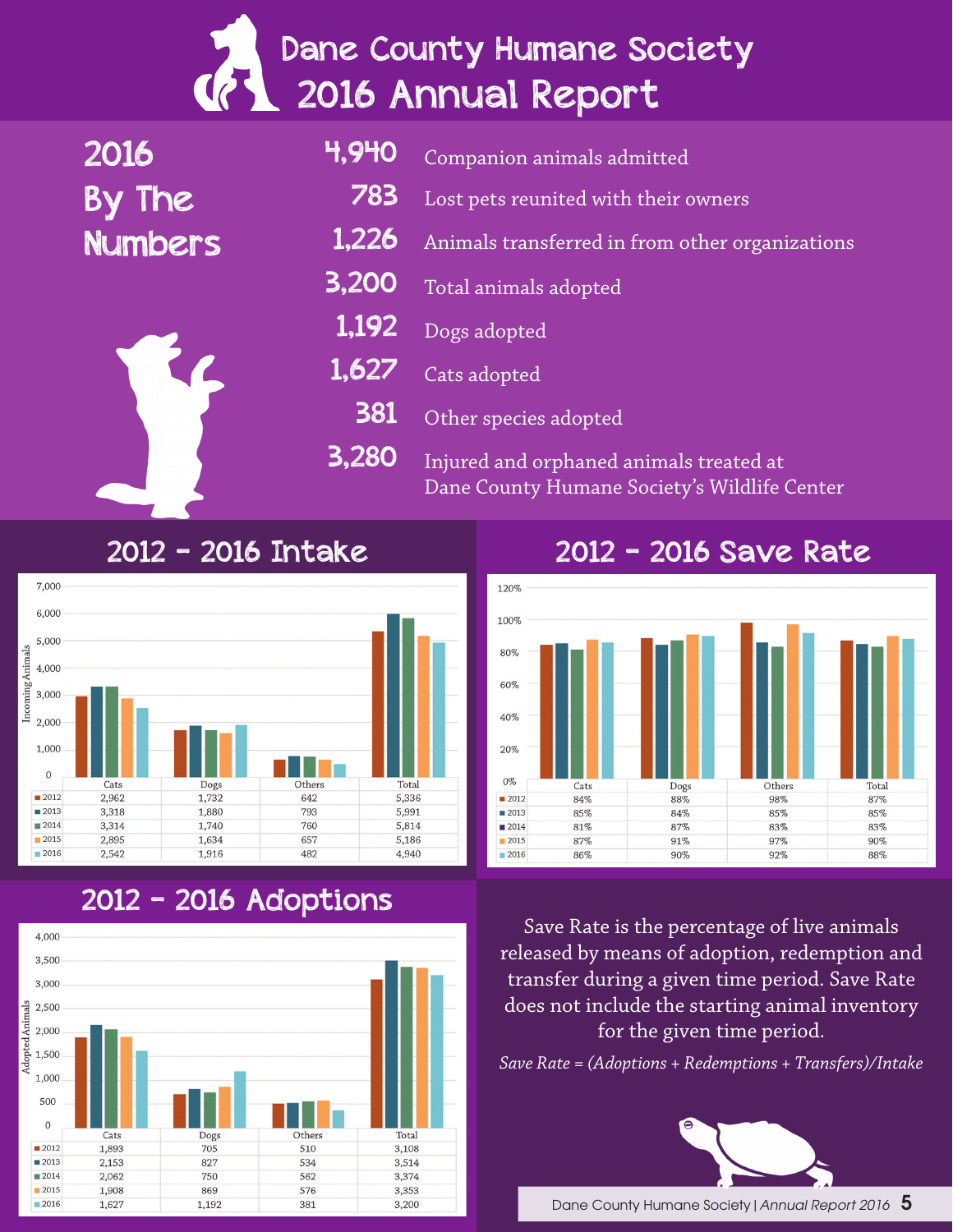# Dane County Humane Society 2016 Annual Report

2016 By The Numbers 4,940 783 1,226 3,200 1,192 1,627 381 3,280 Companion animals admitted Lost pets reunited with their owners Animals transferred in from other organizations Total animals adopted Dogs adopted Cats adopted Other species adopted Injured and orphaned animals treated at Dane County Humane Society's Wildlife Center

#### 2012 - 2016 Intake



### 2012 - 2016 Adoptions



#### 2012 - 2016 Save Rate



Save Rate is the percentage of live animals released by means of adoption, redemption and transfer during a given time period. Save Rate does not include the starting animal inventory for the given time period.

*Save Rate = (Adoptions + Redemptions + Transfers)/Intake*

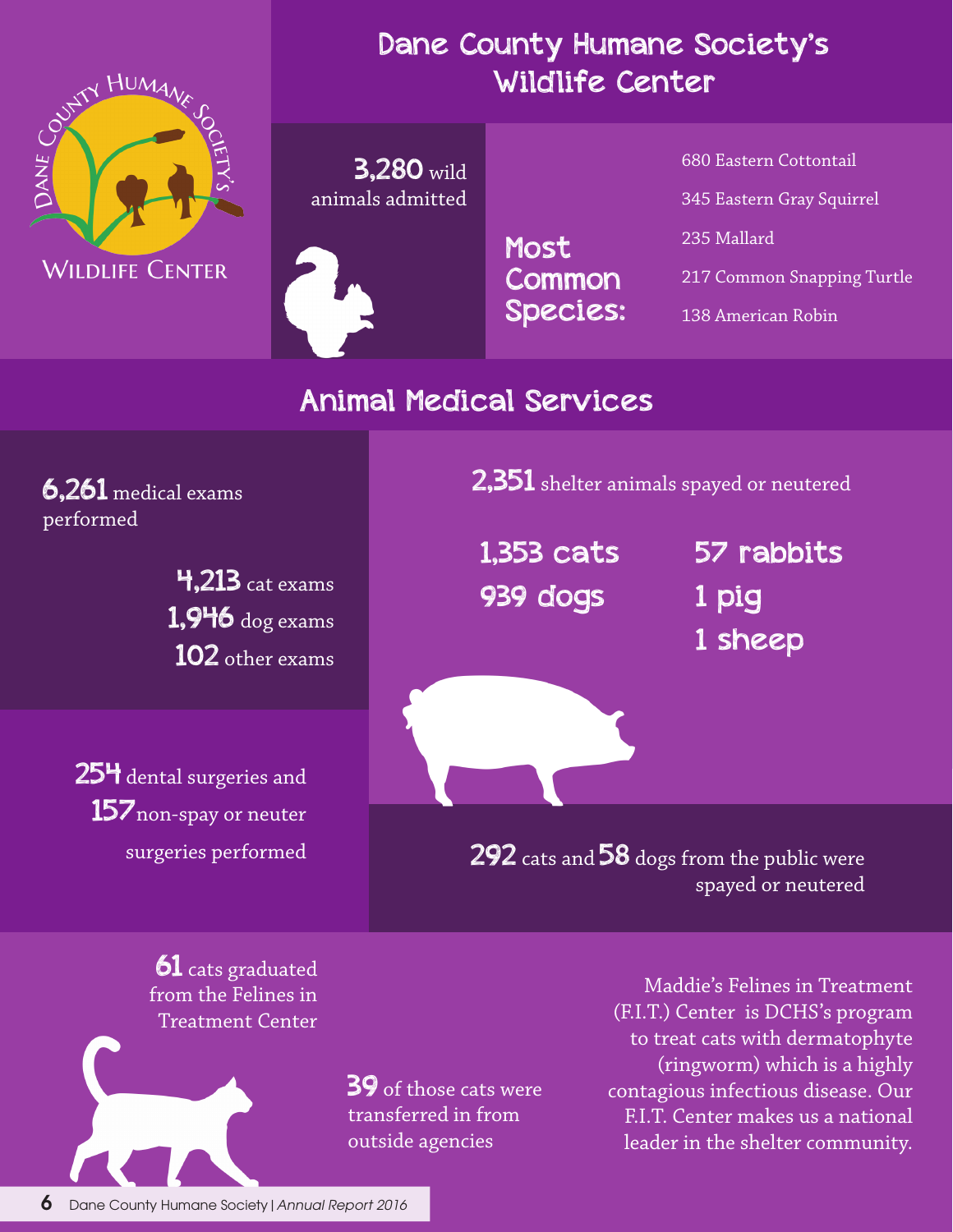

#### Dane County Humane Society's Wildlife Center

3,280 wild animals admitted

> Most Common Species:

680 Eastern Cottontail 345 Eastern Gray Squirrel 235 Mallard 217 Common Snapping Turtle 138 American Robin

### Animal Medical Services

performed

4,213 cat exams 1,946 dog exams 102 other exams

25<sup>4</sup> dental surgeries and 157<sub>non-spay</sub> or neuter surgeries performed

 $\overline{2,351}$  shelter animals spayed or neutered

1,353 cats 939 dogs

57 rabbits 1 pig 1 sheep

**292** cats and  $58$  dogs from the public were spayed or neutered

**61** cats graduated from the Felines in Treatment Center

> 39 of those cats were transferred in from outside agencies

Maddie's Felines in Treatment (F.I.T.) Center is DCHS's program to treat cats with dermatophyte (ringworm) which is a highly contagious infectious disease. Our F.I.T. Center makes us a national leader in the shelter community.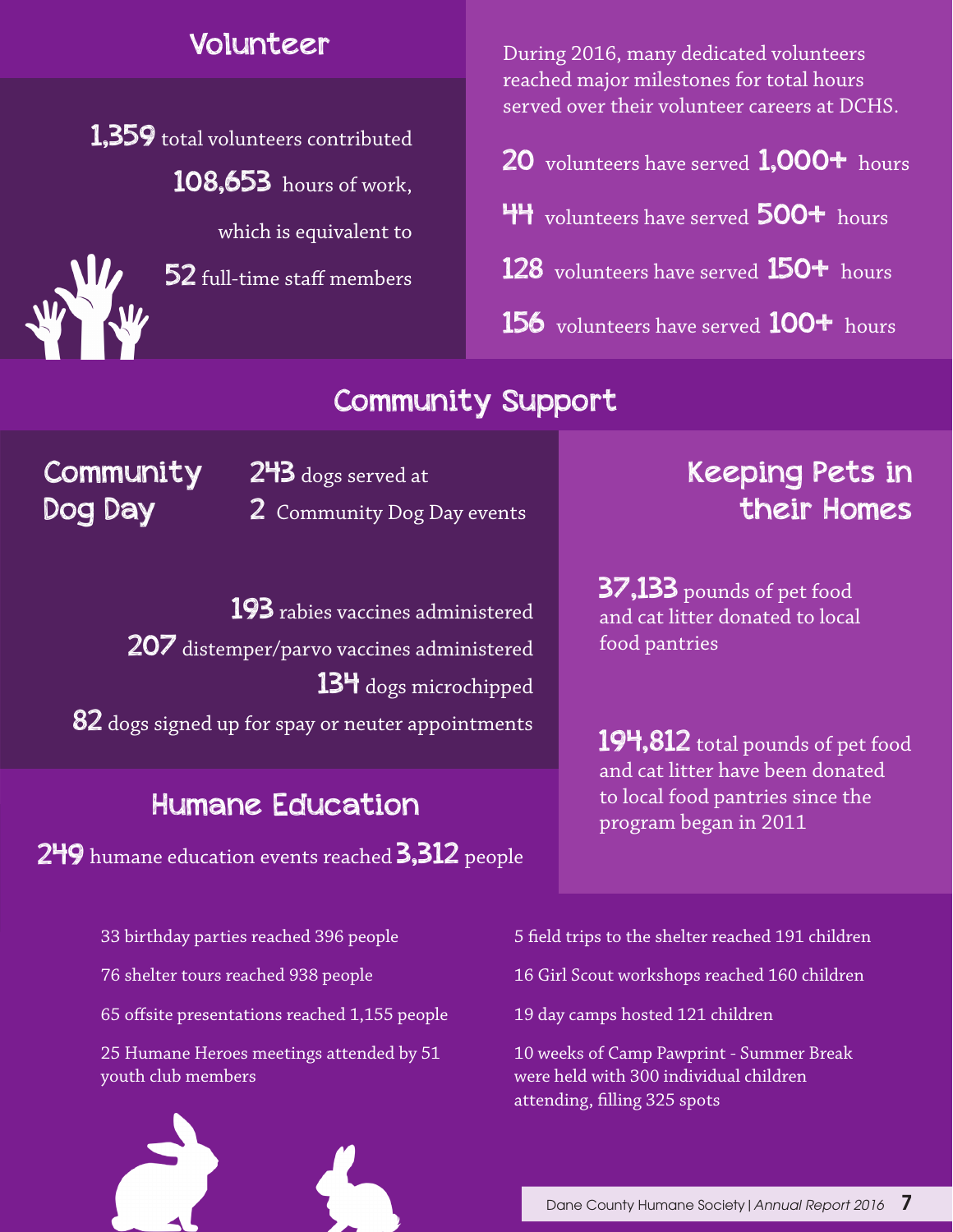#### Volunteer

1,359 total volunteers contributed 108,653 hours of work,

which is equivalent to

52 full-time staff members

During 2016, many dedicated volunteers reached major milestones for total hours served over their volunteer careers at DCHS.

- 20 volunteers have served 1,000+ hours
- 44 volunteers have served 500+ hours
- 128 volunteers have served 150<sup>+</sup> hours
- 156 volunteers have served 100+ hours

### Community Support

**Community** Dog Day

2<sup>4</sup>3 dogs served at 2 Community Dog Day events

193 rabies vaccines administered 207 distemper/parvo vaccines administered 134 dogs microchipped 82 dogs signed up for spay or neuter appointments

### Humane Education

249 humane education events reached 3,312 people

## Keeping Pets in their Homes

**37,133** pounds of pet food and cat litter donated to local food pantries

194,812 total pounds of pet food and cat litter have been donated to local food pantries since the program began in 2011

33 birthday parties reached 396 people

76 shelter tours reached 938 people

65 offsite presentations reached 1,155 people

25 Humane Heroes meetings attended by 51 youth club members



5 field trips to the shelter reached 191 children

16 Girl Scout workshops reached 160 children

19 day camps hosted 121 children

10 weeks of Camp Pawprint - Summer Break were held with 300 individual children attending, filling 325 spots